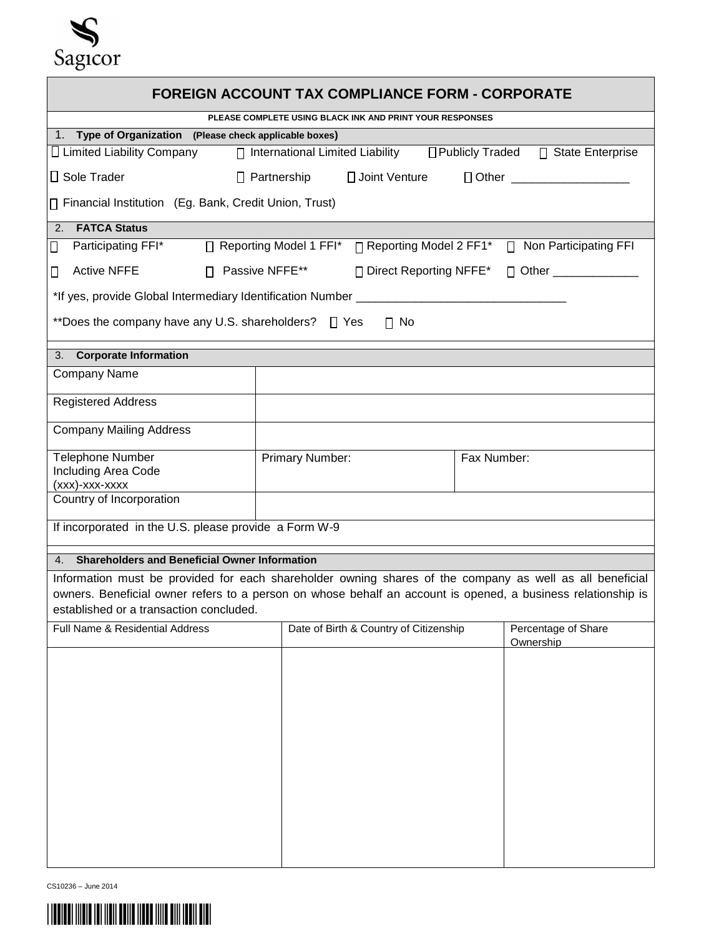

| <b>FOREIGN ACCOUNT TAX COMPLIANCE FORM - CORPORATE</b>                                                                                                  |                                        |                     |  |
|---------------------------------------------------------------------------------------------------------------------------------------------------------|----------------------------------------|---------------------|--|
| PLEASE COMPLETE USING BLACK INK AND PRINT YOUR RESPONSES                                                                                                |                                        |                     |  |
| 1. Type of Organization (Please check applicable boxes)                                                                                                 |                                        |                     |  |
| □ Publicly Traded<br>$\Box$ Limited Liability Company<br>□ State Enterprise<br>$\Box$ International Limited Liability                                   |                                        |                     |  |
| $\Box$ Sole Trader<br>$\Box$ Partnership<br>□ Joint Venture<br>Dother _____________________                                                             |                                        |                     |  |
| □ Financial Institution (Eg. Bank, Credit Union, Trust)                                                                                                 |                                        |                     |  |
| <b>FATCA Status</b><br>2.                                                                                                                               |                                        |                     |  |
| ∏ Reporting Model 2 FF1* □ Non Participating FFI<br>Participating FFI*<br>□ Reporting Model 1 FFI*<br>$\Box$                                            |                                        |                     |  |
| <b>Active NFFE</b><br>□ Passive NFFE**<br>□ Direct Reporting NFFE*<br>□ Other ________________<br>$\Box$                                                |                                        |                     |  |
| *If yes, provide Global Intermediary Identification Number ___________                                                                                  |                                        |                     |  |
| **Does the company have any U.S. shareholders? $\Box$ Yes<br>$\Box$ No                                                                                  |                                        |                     |  |
| 3. Corporate Information                                                                                                                                |                                        |                     |  |
| <b>Company Name</b>                                                                                                                                     |                                        |                     |  |
| <b>Registered Address</b>                                                                                                                               |                                        |                     |  |
| <b>Company Mailing Address</b>                                                                                                                          |                                        |                     |  |
| <b>Telephone Number</b>                                                                                                                                 | Primary Number:                        | Fax Number:         |  |
| <b>Including Area Code</b>                                                                                                                              |                                        |                     |  |
| (xxx)-xxx-xxxx<br>Country of Incorporation                                                                                                              |                                        |                     |  |
| If incorporated in the U.S. please provide a Form W-9                                                                                                   |                                        |                     |  |
|                                                                                                                                                         |                                        |                     |  |
| <b>Shareholders and Beneficial Owner Information</b><br>4.                                                                                              |                                        |                     |  |
| Information must be provided for each shareholder owning shares of the company as well as all beneficial                                                |                                        |                     |  |
| owners. Beneficial owner refers to a person on whose behalf an account is opened, a business relationship is<br>established or a transaction concluded. |                                        |                     |  |
| Full Name & Residential Address                                                                                                                         | Date of Birth & Country of Citizenship | Percentage of Share |  |
|                                                                                                                                                         |                                        | Ownership           |  |
|                                                                                                                                                         |                                        |                     |  |
|                                                                                                                                                         |                                        |                     |  |
|                                                                                                                                                         |                                        |                     |  |
|                                                                                                                                                         |                                        |                     |  |
|                                                                                                                                                         |                                        |                     |  |
|                                                                                                                                                         |                                        |                     |  |
|                                                                                                                                                         |                                        |                     |  |
|                                                                                                                                                         |                                        |                     |  |
|                                                                                                                                                         |                                        |                     |  |
|                                                                                                                                                         |                                        |                     |  |
|                                                                                                                                                         |                                        |                     |  |

CS10236 – June 2014